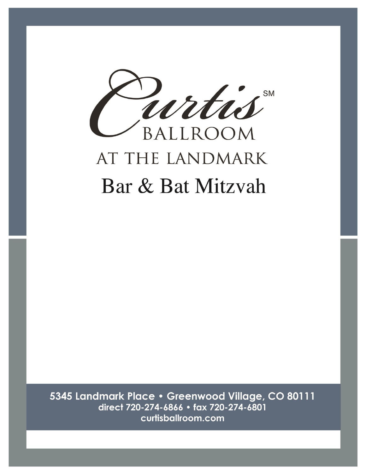

5345 Landmark Place · Greenwood Village, CO 80111 direct 720-274-6866 · fax 720-274-6801 curtisballroom.com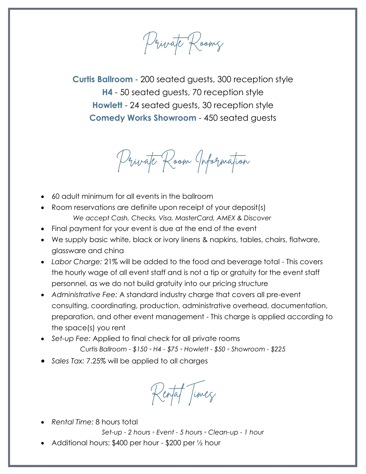Private Rooms

**Curtis Ballroom** - 200 seated guests, 300 reception style **H4** - 50 seated guests, 70 reception style **Howlett** - 24 seated guests, 30 reception style **Comedy Works Showroom** - 450 seated guests

Private Room Information

- 60 adult minimum for all events in the ballroom
- Room reservations are definite upon receipt of your deposit(s) *We accept Cash, Checks, Visa, MasterCard, AMEX & Discover*
- Final payment for your event is due at the end of the event
- We supply basic white, black or ivory linens & napkins, tables, chairs, flatware, glassware and china
- *Labor Charge:* 21% will be added to the food and beverage total This covers the hourly wage of all event staff and is not a tip or gratuity for the event staff personnel, as we do not build gratuity into our pricing structure
- *Administrative Fee:* A standard industry charge that covers all pre-event consulting, coordinating, production, administrative overhead, documentation, preparation, and other event management - This charge is applied according to the space(s) you rent
- *Set-up Fee:* Applied to final check for all private rooms *Curtis Ballroom - \$150 ◦ H4 - \$75 ◦ Howlett - \$50 ◦ Showroom - \$225*
- *Sales Tax:* 7.25% will be applied to all charges

Rental Times

• *Rental Time:* 8 hours total

*Set-up - 2 hours ◦ Event - 5 hours ◦ Clean-up - 1 hour*

• Additional hours: \$400 per hour - \$200 per ½ hour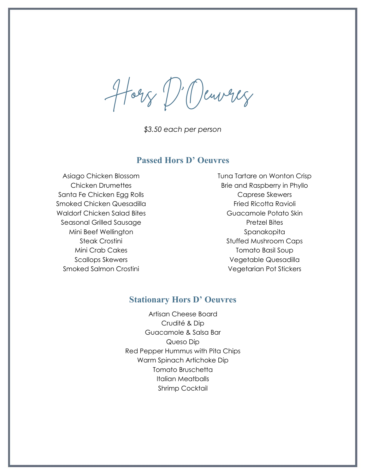Horz D'Oeuvrez

*\$3.50 each per person*

#### **Passed Hors D' Oeuvres**

Asiago Chicken Blossom Chicken Drumettes Santa Fe Chicken Egg Rolls Smoked Chicken Quesadilla Waldorf Chicken Salad Bites Seasonal Grilled Sausage Mini Beef Wellington Steak Crostini Mini Crab Cakes Scallops Skewers Smoked Salmon Crostini

Tuna Tartare on Wonton Crisp Brie and Raspberry in Phyllo Caprese Skewers Fried Ricotta Ravioli Guacamole Potato Skin Pretzel Bites Spanakopita Stuffed Mushroom Caps Tomato Basil Soup Vegetable Quesadilla Vegetarian Pot Stickers

#### **Stationary Hors D' Oeuvres**

Artisan Cheese Board Crudité & Dip Guacamole & Salsa Bar Queso Dip Red Pepper Hummus with Pita Chips Warm Spinach Artichoke Dip Tomato Bruschetta Italian Meatballs Shrimp Cocktail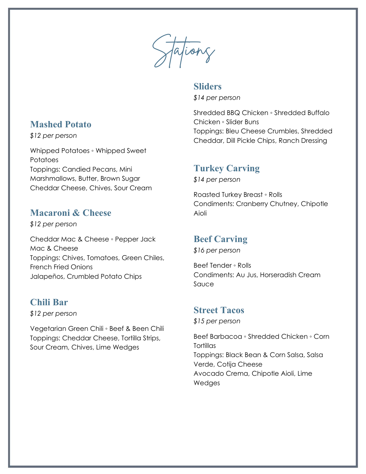Stations

## **Sliders**

*\$14 per person*

Shredded BBQ Chicken ◦ Shredded Buffalo Chicken ◦ Slider Buns Toppings: Bleu Cheese Crumbles, Shredded Cheddar, Dill Pickle Chips, Ranch Dressing

# **Turkey Carving**

*\$14 per person*

Roasted Turkey Breast ◦ Rolls Condiments: Cranberry Chutney, Chipotle Aioli

# **Beef Carving**

*\$16 per person*

Beef Tender ◦ Rolls Condiments: Au Jus, Horseradish Cream Sauce

## **Street Tacos**

*\$15 per person*

Beef Barbacoa ◦ Shredded Chicken ◦ Corn **Tortillas** Toppings: Black Bean & Corn Salsa, Salsa Verde, Cotija Cheese Avocado Crema, Chipotle Aioli, Lime Wedges

# **Mashed Potato**

*\$12 per person*

Whipped Potatoes ◦ Whipped Sweet **Potatoes** Toppings: Candied Pecans, Mini Marshmallows, Butter, Brown Sugar Cheddar Cheese, Chives, Sour Cream

# **Macaroni & Cheese**

*\$12 per person*

Cheddar Mac & Cheese ◦ Pepper Jack Mac & Cheese Toppings: Chives, Tomatoes, Green Chiles, French Fried Onions Jalapeños, Crumbled Potato Chips

# **Chili Bar**

*\$12 per person*

Vegetarian Green Chili ◦ Beef & Been Chili Toppings: Cheddar Cheese, Tortilla Strips, Sour Cream, Chives, Lime Wedges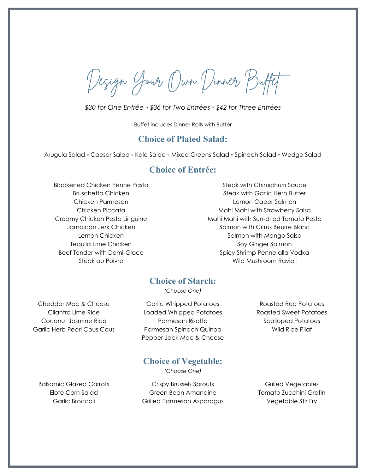Design Your Own Dinner Buffet

*\$30 for One Entrée ◦ \$36 for Two Entrées ◦ \$42 for Three Entrées*

Buffet includes Dinner Rolls with Butter

### **Choice of Plated Salad:**

Arugula Salad ◦ Caesar Salad ◦ Kale Salad ◦ Mixed Greens Salad ◦ Spinach Salad ◦ Wedge Salad

## **Choice of Entrée:**

Blackened Chicken Penne Pasta Bruschetta Chicken Chicken Parmesan Chicken Piccata Creamy Chicken Pesto Linguine Jamaican Jerk Chicken Lemon Chicken Tequila Lime Chicken Beef Tender with Demi-Glace Steak au Poivre

Steak with Chimichurri Sauce Steak with Garlic Herb Butter Lemon Caper Salmon Mahi Mahi with Strawberry Salsa Mahi Mahi with Sun-dried Tomato Pesto Salmon with Citrus Beurre Blanc Salmon with Mango Salsa Soy Ginger Salmon Spicy Shrimp Penne alla Vodka Wild Mushroom Ravioli

## **Choice of Starch:**

*(Choose One)*

Cheddar Mac & Cheese Cilantro Lime Rice Coconut Jasmine Rice Garlic Herb Pearl Cous Cous

Garlic Whipped Potatoes Loaded Whipped Potatoes Parmesan Risotto Parmesan Spinach Quinoa Pepper Jack Mac & Cheese

Roasted Red Potatoes Roasted Sweet Potatoes Scalloped Potatoes Wild Rice Pilaf

## **Choice of Vegetable:**

*(Choose One)*

Elote Corn Salad Garlic Broccoli

Balsamic Glazed Carrots **Crispy Brussels Sprouts** Grilled Vegetables Green Bean Amandine Grilled Parmesan Asparagus

Tomato Zucchini Gratin Vegetable Stir Fry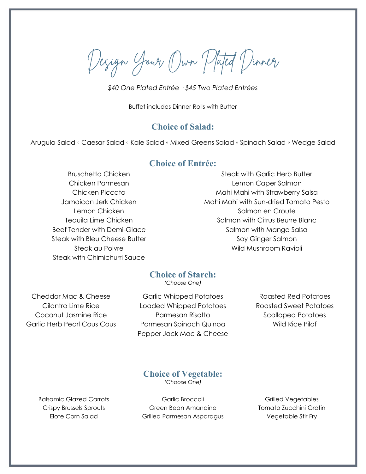Design Your Own Plated Dinner

*\$40 One Plated Entrée · \$45 Two Plated Entrées*

Buffet includes Dinner Rolls with Butter

#### **Choice of Salad:**

Arugula Salad ◦ Caesar Salad ◦ Kale Salad ◦ Mixed Greens Salad ◦ Spinach Salad ◦ Wedge Salad

#### **Choice of Entrée:**

Bruschetta Chicken Chicken Parmesan Chicken Piccata Jamaican Jerk Chicken Lemon Chicken Tequila Lime Chicken Beef Tender with Demi-Glace Steak with Bleu Cheese Butter Steak au Poivre Steak with Chimichurri Sauce

Steak with Garlic Herb Butter Lemon Caper Salmon Mahi Mahi with Strawberry Salsa Mahi Mahi with Sun-dried Tomato Pesto Salmon en Croute Salmon with Citrus Beurre Blanc Salmon with Mango Salsa Soy Ginger Salmon Wild Mushroom Ravioli

### **Choice of Starch:**

*(Choose One)*

Cheddar Mac & Cheese Cilantro Lime Rice Coconut Jasmine Rice Garlic Herb Pearl Cous Cous

Garlic Whipped Potatoes Loaded Whipped Potatoes Parmesan Risotto Parmesan Spinach Quinoa Pepper Jack Mac & Cheese

Roasted Red Potatoes Roasted Sweet Potatoes Scalloped Potatoes Wild Rice Pilaf

**Choice of Vegetable:**

*(Choose One)*

Balsamic Glazed Carrots Crispy Brussels Sprouts Elote Corn Salad

Garlic Broccoli Green Bean Amandine Grilled Parmesan Asparagus

Grilled Vegetables Tomato Zucchini Gratin Vegetable Stir Fry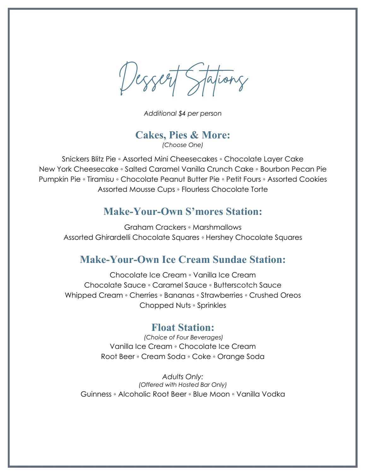Dessert Stations

*Additional \$4 per person*

**Cakes, Pies & More:** *(Choose One)*

Snickers Blitz Pie ◦ Assorted Mini Cheesecakes ◦ Chocolate Layer Cake New York Cheesecake ◦ Salted Caramel Vanilla Crunch Cake ◦ Bourbon Pecan Pie Pumpkin Pie ◦ Tiramisu ◦ Chocolate Peanut Butter Pie ◦ Petit Fours ◦ Assorted Cookies Assorted Mousse Cups ◦ Flourless Chocolate Torte

## **Make-Your-Own S'mores Station:**

Graham Crackers ◦ Marshmallows Assorted Ghirardelli Chocolate Squares ◦ Hershey Chocolate Squares

# **Make-Your-Own Ice Cream Sundae Station:**

Chocolate Ice Cream ◦ Vanilla Ice Cream Chocolate Sauce ◦ Caramel Sauce ◦ Butterscotch Sauce Whipped Cream ◦ Cherries ◦ Bananas ◦ Strawberries ◦ Crushed Oreos Chopped Nuts ◦ Sprinkles

## **Float Station:**

*(Choice of Four Beverages)* Vanilla Ice Cream ◦ Chocolate Ice Cream Root Beer ◦ Cream Soda ◦ Coke ◦ Orange Soda

*Adults Only: (Offered with Hosted Bar Only)* Guinness ◦ Alcoholic Root Beer ◦ Blue Moon ◦ Vanilla Vodka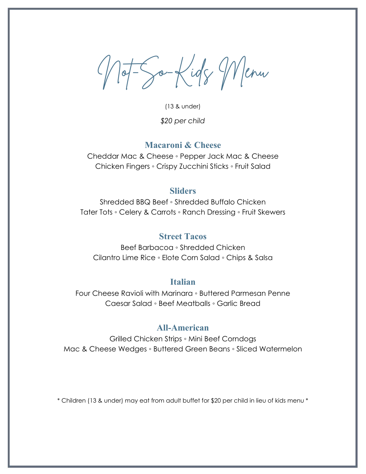Not-So-Kids Menu

(13 & under) *\$20 per child* 

### **Macaroni & Cheese**

Cheddar Mac & Cheese ◦ Pepper Jack Mac & Cheese Chicken Fingers ◦ Crispy Zucchini Sticks ◦ Fruit Salad

#### **Sliders**

Shredded BBQ Beef ◦ Shredded Buffalo Chicken Tater Tots ◦ Celery & Carrots ◦ Ranch Dressing ◦ Fruit Skewers

## **Street Tacos**

Beef Barbacoa ◦ Shredded Chicken Cilantro Lime Rice ◦ Elote Corn Salad ◦ Chips & Salsa

#### **Italian**

Four Cheese Ravioli with Marinara ◦ Buttered Parmesan Penne Caesar Salad ◦ Beef Meatballs ◦ Garlic Bread

### **All-American**

Grilled Chicken Strips ◦ Mini Beef Corndogs Mac & Cheese Wedges ◦ Buttered Green Beans ◦ Sliced Watermelon

\* Children (13 & under) may eat from adult buffet for \$20 per child in lieu of kids menu \*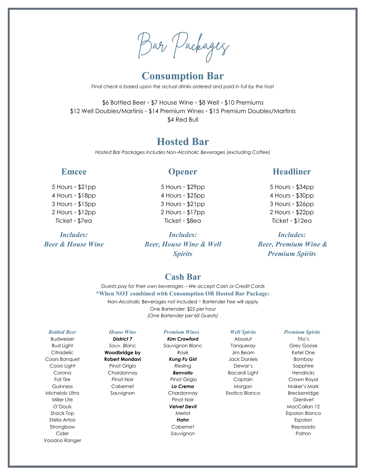Bar Packages

# **Consumption Bar**

*Final check is based upon the actual drinks ordered and paid in full by the host*

\$6 Bottled Beer ◦ \$7 House Wine ◦ \$8 Well ◦ \$10 Premiums \$12 Well Doubles/Martinis ◦ \$14 Premium Wines ◦ \$15 Premium Doubles/Martinis \$4 Red Bull

## **Hosted Bar**

*Hosted Bar Packages includes Non-Alcoholic Beverages (excluding Coffee)*

#### **Emcee**

5 Hours ◦ \$21pp 4 Hours ◦ \$18pp 3 Hours ◦ \$15pp 2 Hours ◦ \$12pp Ticket ◦ \$7ea

*Includes: Beer & House Wine*

#### **Opener**

5 Hours ◦ \$29pp 4 Hours ◦ \$25pp 3 Hours ◦ \$21pp 2 Hours ◦ \$17pp Ticket ◦ \$8ea

*Includes: Beer, House Wine & Well Spirits*

## **Headliner**

5 Hours ◦ \$34pp 4 Hours ◦ \$30pp 3 Hours ◦ \$26pp 2 Hours ◦ \$22pp Ticket ◦ \$12ea

*Includes: Beer, Premium Wine & Premium Spirits*

### **Cash Bar**

*Guests pay for their own beverages – We accept Cash or Credit Cards* **\*When NOT combined with Consumption OR Hosted Bar Package:** Non-Alcoholic Beverages not included ◦ Bartender Fee will apply One Bartender: \$25 per hour *(One Bartender per 60 Guests)*

#### *Bottled Beer*

Budweiser Bud Light **Citradelic** Coors Banquet Coors Light Corona Fat Tire Guinness Michelob Ultra Miller Lite O'Douls Shock Top Stella Artois Strongbow Cider Voodoo Ranger

#### *House Wine District 7 Sauv. Blanc* **Woodbridge by Robert Mondavi** Pinot Grigio Chardonnay Pinot Noir Cabernet Sauvignon

#### *Premium Wines*

*Kim Crawford* Sauvignon Blanc Rosé *Kung Fu Girl Riesling Benvolio* Pinot Grigio *La Crema* **Chardonnay** Pinot Noir *Velvet Devil* Merlot *Hahn Cabernet Sauvignon*

#### *Well Spirits*

Absolut **Tanqueray** Jim Beam Jack Daniels Dewar's Bacardi Light **Captain** Morgan Exotico Blanco

#### *Premium Spirits*

Tito's Grey Goose Ketel One Bombay Sapphire Hendricks Crown Royal Maker's Mark Breckenridge **Glenlivet** MacCallan 12 Espolon Blanco Espolon Repasado Patron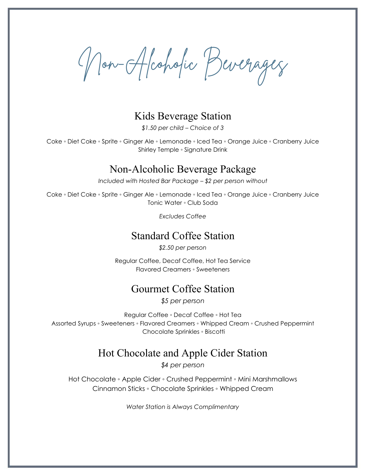Non-Alcoholic Beverages

## Kids Beverage Station

*\$1.50 per child – Choice of 3*

Coke ◦ Diet Coke ◦ Sprite ◦ Ginger Ale ◦ Lemonade ◦ Iced Tea ◦ Orange Juice ◦ Cranberry Juice Shirley Temple ◦ Signature Drink

## Non-Alcoholic Beverage Package

*Included with Hosted Bar Package – \$2 per person without*

Coke ◦ Diet Coke ◦ Sprite ◦ Ginger Ale ◦ Lemonade ◦ Iced Tea ◦ Orange Juice ◦ Cranberry Juice Tonic Water ◦ Club Soda

*Excludes Coffee*

## Standard Coffee Station

*\$2.50 per person*

Regular Coffee, Decaf Coffee, Hot Tea Service Flavored Creamers ◦ Sweeteners

## Gourmet Coffee Station

*\$5 per person*

Regular Coffee ◦ Decaf Coffee ◦ Hot Tea Assorted Syrups ◦ Sweeteners ◦ Flavored Creamers ◦ Whipped Cream ◦ Crushed Peppermint Chocolate Sprinkles ◦ Biscotti

# Hot Chocolate and Apple Cider Station

*\$4 per person*

Hot Chocolate ◦ Apple Cider ◦ Crushed Peppermint ◦ Mini Marshmallows Cinnamon Sticks ◦ Chocolate Sprinkles ◦ Whipped Cream

*Water Station is Always Complimentary*